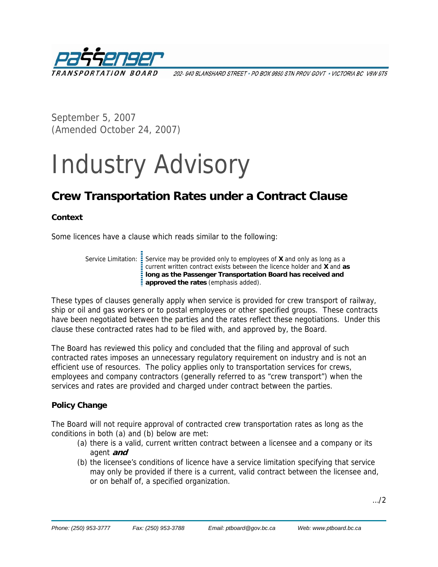

202- 940 BLANSHARD STREET \* PO BOX 9850 STN PROV GOVT \* VICTORIA BC V8W 9T5

September 5, 2007 (Amended October 24, 2007)

# Industry Advisory

# **Crew Transportation Rates under a Contract Clause**

#### **Context**

Some licences have a clause which reads similar to the following:

Service Limitation: Service may be provided only to employees of **X** and only as long as a current written contract exists between the licence holder and **X** and **as long as the Passenger Transportation Board has received and able to the rates of the rates added**).<br> **approved the rates** (emphasis added).

These types of clauses generally apply when service is provided for crew transport of railway, ship or oil and gas workers or to postal employees or other specified groups. These contracts have been negotiated between the parties and the rates reflect these negotiations. Under this clause these contracted rates had to be filed with, and approved by, the Board.

The Board has reviewed this policy and concluded that the filing and approval of such contracted rates imposes an unnecessary regulatory requirement on industry and is not an efficient use of resources. The policy applies only to transportation services for crews, employees and company contractors (generally referred to as "crew transport") when the services and rates are provided and charged under contract between the parties.

### **Policy Change**

The Board will not require approval of contracted crew transportation rates as long as the conditions in both (a) and (b) below are met:

- (a) there is a valid, current written contract between a licensee and a company or its agent **and**
- (b) the licensee's conditions of licence have a service limitation specifying that service may only be provided if there is a current, valid contract between the licensee and, or on behalf of, a specified organization.

…/2